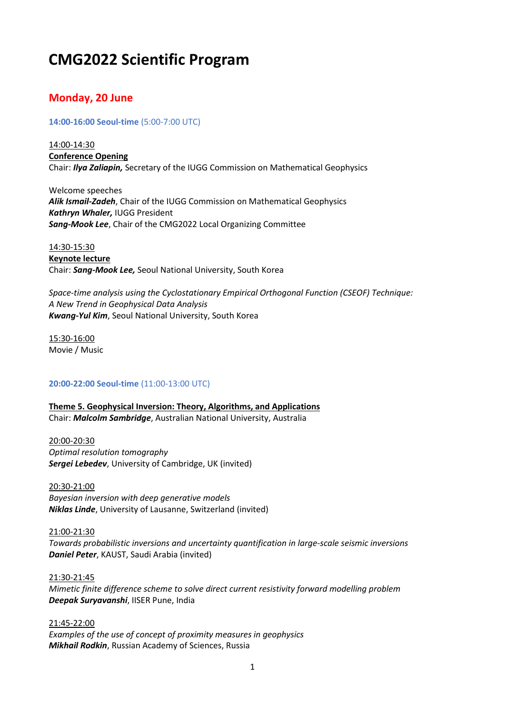# **CMG2022 Scientific Program**

# **Monday, 20 June**

### **14:00-16:00 Seoul-time** (5:00-7:00 UTC)

14:00-14:30 **Conference Opening**  Chair: *Ilya Zaliapin,* Secretary of the IUGG Commission on Mathematical Geophysics

Welcome speeches *Alik Ismail-Zadeh*, Chair of the IUGG Commission on Mathematical Geophysics *Kathryn Whaler,* IUGG President *Sang-Mook Lee*, Chair of the CMG2022 Local Organizing Committee

14:30-15:30 **Keynote lecture**  Chair: *Sang-Mook Lee,* Seoul National University, South Korea

*Space-time analysis using the Cyclostationary Empirical Orthogonal Function (CSEOF) Technique: A New Trend in Geophysical Data Analysis Kwang-Yul Kim*, Seoul National University, South Korea

15:30-16:00 Movie / Music

### **20:00-22:00 Seoul-time** (11:00-13:00 UTC)

**Theme 5. Geophysical Inversion: Theory, Algorithms, and Applications** Chair: *Malcolm Sambridge*, Australian National University, Australia

20:00-20:30 *Optimal resolution tomography Sergei Lebedev*, University of Cambridge, UK (invited)

20:30-21:00 *Bayesian inversion with deep generative models Niklas Linde*, University of Lausanne, Switzerland (invited)

21:00-21:30 *Towards probabilistic inversions and uncertainty quantification in large-scale seismic inversions Daniel Peter*, KAUST, Saudi Arabia (invited)

21:30-21:45 *Mimetic finite difference scheme to solve direct current resistivity forward modelling problem Deepak Suryavanshi*, IISER Pune, India

21:45-22:00 *Examples of the use of concept of proximity measures in geophysics Mikhail Rodkin*, Russian Academy of Sciences, Russia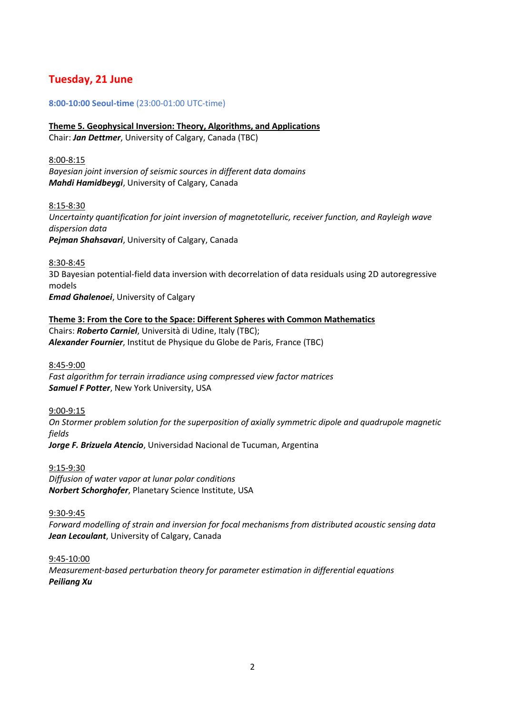# **Tuesday, 21 June**

### **8:00-10:00 Seoul-time** (23:00-01:00 UTC-time)

**Theme 5. Geophysical Inversion: Theory, Algorithms, and Applications** Chair: *Jan Dettmer*, University of Calgary, Canada (TBC)

8:00-8:15 *Bayesian joint inversion of seismic sources in different data domains Mahdi Hamidbeygi*, University of Calgary, Canada

8:15-8:30 *Uncertainty quantification for joint inversion of magnetotelluric, receiver function, and Rayleigh wave dispersion data Pejman Shahsavari*, University of Calgary, Canada

8:30-8:45 3D Bayesian potential-field data inversion with decorrelation of data residuals using 2D autoregressive models *Emad Ghalenoei*, University of Calgary

**Theme 3: From the Core to the Space: Different Spheres with Common Mathematics** Chairs: *Roberto Carniel*, Università di Udine, Italy (TBC); *Alexander Fournier*, Institut de Physique du Globe de Paris, France (TBC)

8:45-9:00 *Fast algorithm for terrain irradiance using compressed view factor matrices Samuel F Potter*, New York University, USA

9:00-9:15 *On Stormer problem solution for the superposition of axially symmetric dipole and quadrupole magnetic fields*

*Jorge F. Brizuela Atencio*, Universidad Nacional de Tucuman, Argentina

9:15-9:30 *Diffusion of water vapor at lunar polar conditions Norbert Schorghofer*, Planetary Science Institute, USA

9:30-9:45

*Forward modelling of strain and inversion for focal mechanisms from distributed acoustic sensing data Jean Lecoulant*, University of Calgary, Canada

9:45-10:00 *Measurement-based perturbation theory for parameter estimation in differential equations Peiliang Xu*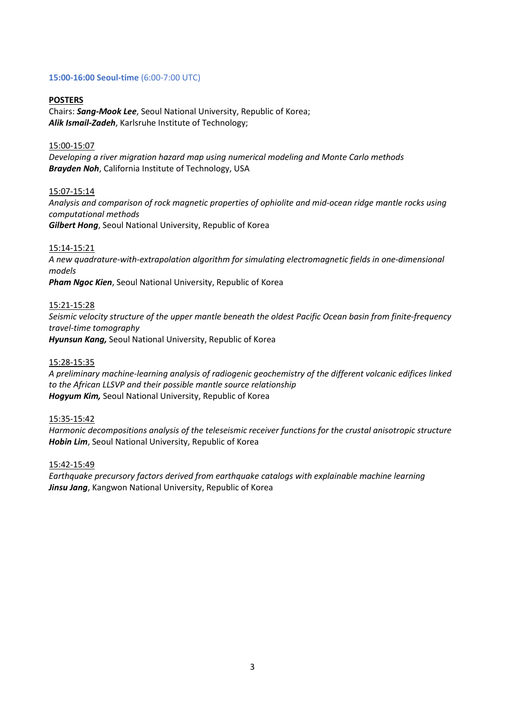### **15:00-16:00 Seoul-time** (6:00-7:00 UTC)

#### **POSTERS**

Chairs: *Sang-Mook Lee*, Seoul National University, Republic of Korea; *Alik Ismail-Zadeh*, Karlsruhe Institute of Technology;

#### 15:00-15:07

*Developing a river migration hazard map using numerical modeling and Monte Carlo methods Brayden Noh*, California Institute of Technology, USA

#### 15:07-15:14

*Analysis and comparison of rock magnetic properties of ophiolite and mid-ocean ridge mantle rocks using computational methods Gilbert Hong*, Seoul National University, Republic of Korea

#### 15:14-15:21

*A new quadrature-with-extrapolation algorithm for simulating electromagnetic fields in one-dimensional models Pham Ngoc Kien*, Seoul National University, Republic of Korea

#### 15:21-15:28

*Seismic velocity structure of the upper mantle beneath the oldest Pacific Ocean basin from finite-frequency travel-time tomography Hyunsun Kang,* Seoul National University, Republic of Korea

### 15:28-15:35

*A preliminary machine-learning analysis of radiogenic geochemistry of the different volcanic edifices linked to the African LLSVP and their possible mantle source relationship Hogyum Kim,* Seoul National University, Republic of Korea

#### 15:35-15:42

*Harmonic decompositions analysis of the teleseismic receiver functions for the crustal anisotropic structure Hobin Lim*, Seoul National University, Republic of Korea

#### 15:42-15:49

*Earthquake precursory factors derived from earthquake catalogs with explainable machine learning Jinsu Jang*, Kangwon National University, Republic of Korea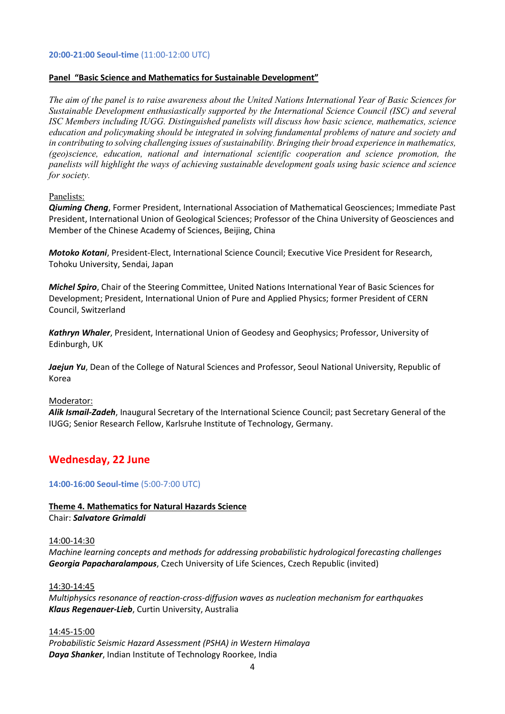#### **20:00-21:00 Seoul-time** (11:00-12:00 UTC)

### **Panel "Basic Science and Mathematics for Sustainable Development"**

*The aim of the panel is to raise awareness about the United Nations International Year of Basic Sciences for Sustainable Development enthusiastically supported by the International Science Council (ISC) and several ISC Members including IUGG. Distinguished panelists will discuss how basic science, mathematics, science education and policymaking should be integrated in solving fundamental problems of nature and society and in contributing to solving challenging issues of sustainability. Bringing their broad experience in mathematics, (geo)science, education, national and international scientific cooperation and science promotion, the panelists will highlight the ways of achieving sustainable development goals using basic science and science for society.* 

### Panelists:

*Qiuming Cheng*, Former President, International Association of Mathematical Geosciences; Immediate Past President, International Union of Geological Sciences; Professor of the China University of Geosciences and Member of the Chinese Academy of Sciences, Beijing, China

*Motoko Kotani*, President-Elect, International Science Council; Executive Vice President for Research, Tohoku University, Sendai, Japan

*Michel Spiro*, Chair of the Steering Committee, United Nations International Year of Basic Sciences for Development; President, International Union of Pure and Applied Physics; former President of CERN Council, Switzerland

*Kathryn Whaler*, President, International Union of Geodesy and Geophysics; Professor, University of Edinburgh, UK

*Jaejun Yu*, Dean of the College of Natural Sciences and Professor, Seoul National University, Republic of Korea

#### Moderator:

*Alik Ismail-Zadeh*, Inaugural Secretary of the International Science Council; past Secretary General of the IUGG; Senior Research Fellow, Karlsruhe Institute of Technology, Germany.

### **Wednesday, 22 June**

**14:00-16:00 Seoul-time** (5:00-7:00 UTC)

#### **Theme 4. Mathematics for Natural Hazards Science** Chair: *Salvatore Grimaldi*

#### 14:00-14:30

*Machine learning concepts and methods for addressing probabilistic hydrological forecasting challenges Georgia Papacharalampous*, Czech University of Life Sciences, Czech Republic (invited)

#### 14:30-14:45

*Multiphysics resonance of reaction-cross-diffusion waves as nucleation mechanism for earthquakes Klaus Regenauer-Lieb*, Curtin University, Australia

#### 14:45-15:00

*Probabilistic Seismic Hazard Assessment (PSHA) in Western Himalaya Daya Shanker*, Indian Institute of Technology Roorkee, India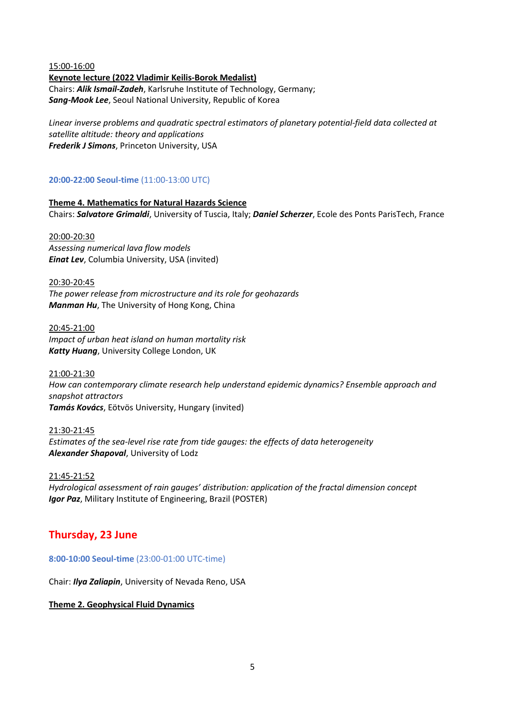#### 15:00-16:00

**Keynote lecture (2022 Vladimir Keilis-Borok Medalist)** Chairs: *Alik Ismail-Zadeh*, Karlsruhe Institute of Technology, Germany; *Sang-Mook Lee*, Seoul National University, Republic of Korea

*Linear inverse problems and quadratic spectral estimators of planetary potential-field data collected at satellite altitude: theory and applications Frederik J Simons*, Princeton University, USA

### **20:00-22:00 Seoul-time** (11:00-13:00 UTC)

**Theme 4. Mathematics for Natural Hazards Science** Chairs: *Salvatore Grimaldi*, University of Tuscia, Italy; *Daniel Scherzer*, Ecole des Ponts ParisTech, France

20:00-20:30 *Assessing numerical lava flow models Einat Lev*, Columbia University, USA (invited)

20:30-20:45 *The power release from microstructure and its role for geohazards Manman Hu*, The University of Hong Kong, China

20:45-21:00 *Impact of urban heat island on human mortality risk Katty Huang*, University College London, UK

21:00-21:30 *How can contemporary climate research help understand epidemic dynamics? Ensemble approach and snapshot attractors Tamás Kovács*, Eötvös University, Hungary (invited)

21:30-21:45 *Estimates of the sea-level rise rate from tide gauges: the effects of data heterogeneity Alexander Shapoval*, University of Lodz

21:45-21:52 *Hydrological assessment of rain gauges' distribution: application of the fractal dimension concept Igor Paz*, Military Institute of Engineering, Brazil (POSTER)

## **Thursday, 23 June**

**8:00-10:00 Seoul-time** (23:00-01:00 UTC-time)

Chair: *Ilya Zaliapin*, University of Nevada Reno, USA

**Theme 2. Geophysical Fluid Dynamics**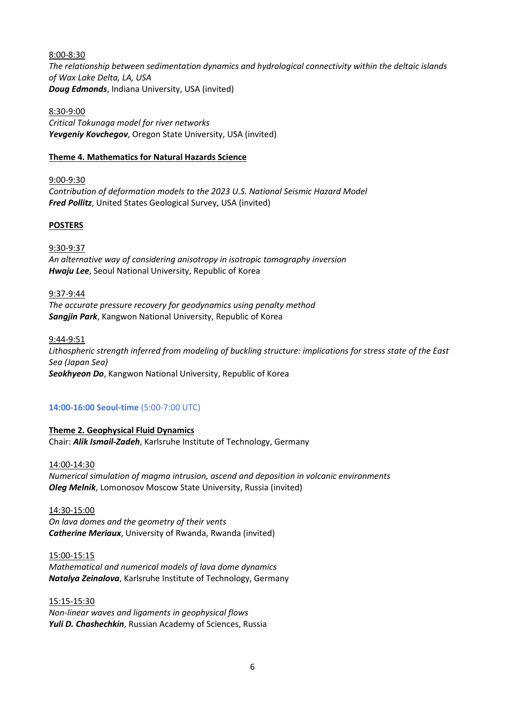8:00-8:30 *The relationship between sedimentation dynamics and hydrological connectivity within the deltaic islands of Wax Lake Delta, LA, USA Doug Edmonds*, Indiana University, USA (invited)

8:30-9:00 *Critical Tokunaga model for river networks Yevgeniy Kovchegov*, Oregon State University, USA (invited)

### **Theme 4. Mathematics for Natural Hazards Science**

9:00-9:30 *Contribution of deformation models to the 2023 U.S. National Seismic Hazard Model Fred Pollitz*, United States Geological Survey, USA (invited)

### **POSTERS**

9:30-9:37 *An alternative way of considering anisotropy in isotropic tomography inversion Hwaju Lee*, Seoul National University, Republic of Korea

9:37-9:44 *The accurate pressure recovery for geodynamics using penalty method Sangjin Park*, Kangwon National University, Republic of Korea

9:44-9:51 *Lithospheric strength inferred from modeling of buckling structure: implications for stress state of the East Sea (Japan Sea) Seokhyeon Do*, Kangwon National University, Republic of Korea

### **14:00-16:00 Seoul-time** (5:00-7:00 UTC)

**Theme 2. Geophysical Fluid Dynamics** Chair: *Alik Ismail-Zadeh*, Karlsruhe Institute of Technology, Germany

14:00-14:30 *Numerical simulation of magma intrusion, ascend and deposition in volcanic environments Oleg Melnik*, Lomonosov Moscow State University, Russia (invited)

14:30-15:00 *On lava domes and the geometry of their vents Catherine Meriaux*, University of Rwanda, Rwanda (invited)

15:00-15:15 *Mathematical and numerical models of lava dome dynamics Natalya Zeinalova*, Karlsruhe Institute of Technology, Germany

15:15-15:30 *Non-linear waves and ligaments in geophysical flows Yuli D. Chashechkin*, Russian Academy of Sciences, Russia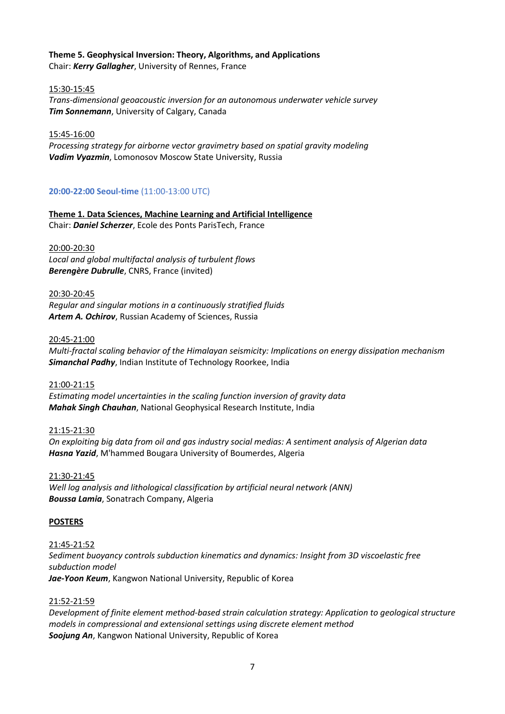# **Theme 5. Geophysical Inversion: Theory, Algorithms, and Applications**

Chair: *Kerry Gallagher*, University of Rennes, France

### 15:30-15:45

*Trans-dimensional geoacoustic inversion for an autonomous underwater vehicle survey Tim Sonnemann*, University of Calgary, Canada

### 15:45-16:00

*Processing strategy for airborne vector gravimetry based on spatial gravity modeling Vadim Vyazmin*, Lomonosov Moscow State University, Russia

### **20:00-22:00 Seoul-time** (11:00-13:00 UTC)

**Theme 1. Data Sciences, Machine Learning and Artificial Intelligence** Chair: *Daniel Scherzer*, Ecole des Ponts ParisTech, France

### 20:00-20:30

*Local and global multifactal analysis of turbulent flows Berengère Dubrulle*, CNRS, France (invited)

### 20:30-20:45

*Regular and singular motions in a continuously stratified fluids Artem A. Ochirov*, Russian Academy of Sciences, Russia

### 20:45-21:00

*Multi-fractal scaling behavior of the Himalayan seismicity: Implications on energy dissipation mechanism Simanchal Padhy*, Indian Institute of Technology Roorkee, India

### 21:00-21:15

*Estimating model uncertainties in the scaling function inversion of gravity data Mahak Singh Chauhan*, National Geophysical Research Institute, India

### 21:15-21:30

*On exploiting big data from oil and gas industry social medias: A sentiment analysis of Algerian data Hasna Yazid*, M'hammed Bougara University of Boumerdes, Algeria

### 21:30-21:45

*Well log analysis and lithological classification by artificial neural network (ANN) Boussa Lamia*, Sonatrach Company, Algeria

### **POSTERS**

### 21:45-21:52

*Sediment buoyancy controls subduction kinematics and dynamics: Insight from 3D viscoelastic free subduction model Jae-Yoon Keum*, Kangwon National University, Republic of Korea

### 21:52-21:59

*Development of finite element method-based strain calculation strategy: Application to geological structure models in compressional and extensional settings using discrete element method Soojung An*, Kangwon National University, Republic of Korea